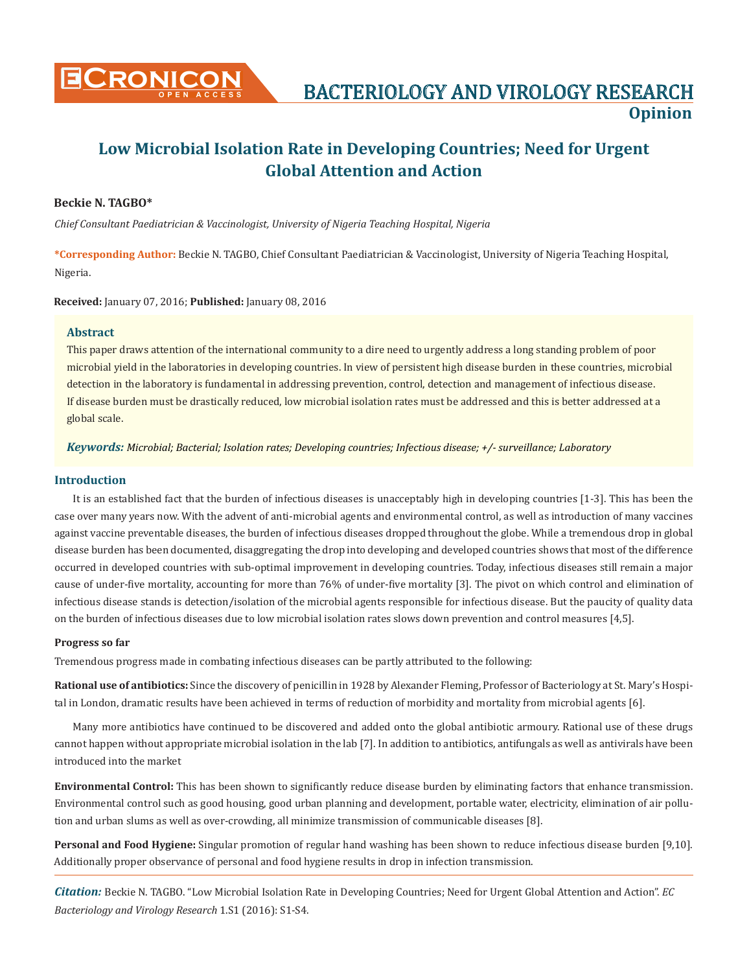

# **Low Microbial Isolation Rate in Developing Countries; Need for Urgent Global Attention and Action**

#### **Beckie N. TAGBO\***

*Chief Consultant Paediatrician & Vaccinologist, University of Nigeria Teaching Hospital, Nigeria*

**\*Corresponding Author:** Beckie N. TAGBO, Chief Consultant Paediatrician & Vaccinologist, University of Nigeria Teaching Hospital, Nigeria.

**Received:** January 07, 2016; **Published:** January 08, 2016

#### **Abstract**

This paper draws attention of the international community to a dire need to urgently address a long standing problem of poor microbial yield in the laboratories in developing countries. In view of persistent high disease burden in these countries, microbial detection in the laboratory is fundamental in addressing prevention, control, detection and management of infectious disease. If disease burden must be drastically reduced, low microbial isolation rates must be addressed and this is better addressed at a global scale.

*Keywords: Microbial; Bacterial; Isolation rates; Developing countries; Infectious disease; +/- surveillance; Laboratory*

#### **Introduction**

It is an established fact that the burden of infectious diseases is unacceptably high in developing countries [1-3]. This has been the case over many years now. With the advent of anti-microbial agents and environmental control, as well as introduction of many vaccines against vaccine preventable diseases, the burden of infectious diseases dropped throughout the globe. While a tremendous drop in global disease burden has been documented, disaggregating the drop into developing and developed countries shows that most of the difference occurred in developed countries with sub-optimal improvement in developing countries. Today, infectious diseases still remain a major cause of under-five mortality, accounting for more than 76% of under-five mortality [3]. The pivot on which control and elimination of infectious disease stands is detection/isolation of the microbial agents responsible for infectious disease. But the paucity of quality data on the burden of infectious diseases due to low microbial isolation rates slows down prevention and control measures [4,5].

#### **Progress so far**

Tremendous progress made in combating infectious diseases can be partly attributed to the following:

**Rational use of antibiotics:** Since the discovery of penicillin in 1928 by Alexander Fleming, Professor of Bacteriology at St. Mary's Hospital in London, dramatic results have been achieved in terms of reduction of morbidity and mortality from microbial agents [6].

Many more antibiotics have continued to be discovered and added onto the global antibiotic armoury. Rational use of these drugs cannot happen without appropriate microbial isolation in the lab [7]. In addition to antibiotics, antifungals as well as antivirals have been introduced into the market

**Environmental Control:** This has been shown to significantly reduce disease burden by eliminating factors that enhance transmission. Environmental control such as good housing, good urban planning and development, portable water, electricity, elimination of air pollution and urban slums as well as over-crowding, all minimize transmission of communicable diseases [8].

**Personal and Food Hygiene:** Singular promotion of regular hand washing has been shown to reduce infectious disease burden [9,10]. Additionally proper observance of personal and food hygiene results in drop in infection transmission.

*Citation:* Beckie N. TAGBO. "Low Microbial Isolation Rate in Developing Countries; Need for Urgent Global Attention and Action". *EC Bacteriology and Virology Research* 1.S1 (2016): S1-S4.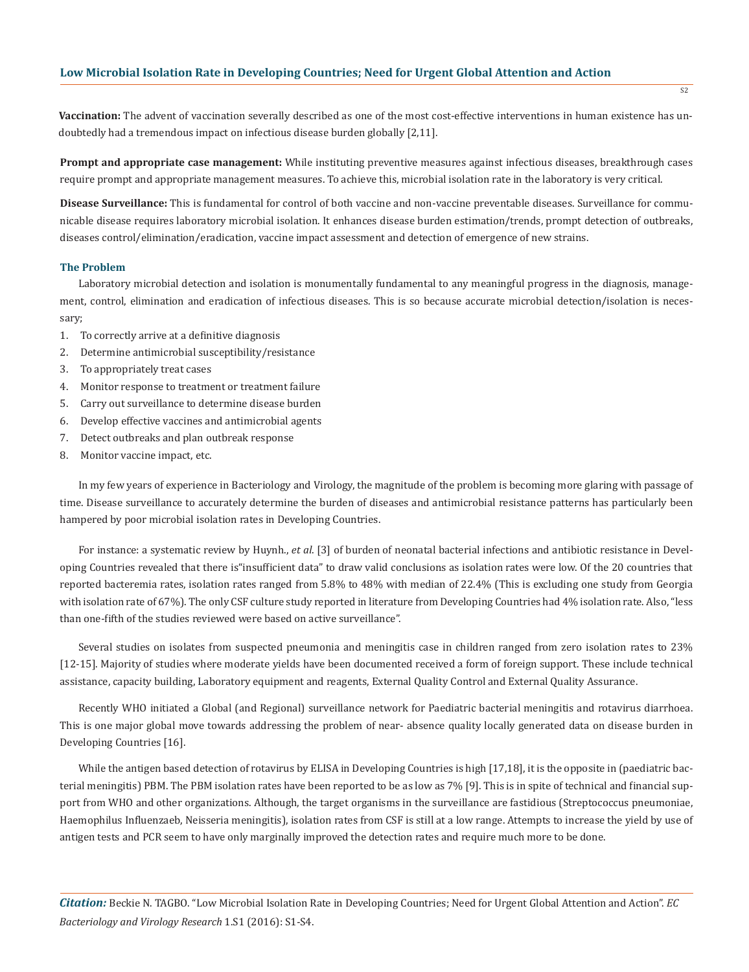**Vaccination:** The advent of vaccination severally described as one of the most cost-effective interventions in human existence has undoubtedly had a tremendous impact on infectious disease burden globally [2,11].

**Prompt and appropriate case management:** While instituting preventive measures against infectious diseases, breakthrough cases require prompt and appropriate management measures. To achieve this, microbial isolation rate in the laboratory is very critical.

**Disease Surveillance:** This is fundamental for control of both vaccine and non-vaccine preventable diseases. Surveillance for communicable disease requires laboratory microbial isolation. It enhances disease burden estimation/trends, prompt detection of outbreaks, diseases control/elimination/eradication, vaccine impact assessment and detection of emergence of new strains.

#### **The Problem**

Laboratory microbial detection and isolation is monumentally fundamental to any meaningful progress in the diagnosis, management, control, elimination and eradication of infectious diseases. This is so because accurate microbial detection/isolation is necessary;

- 1. To correctly arrive at a definitive diagnosis
- 2. Determine antimicrobial susceptibility/resistance
- 3. To appropriately treat cases
- 4. Monitor response to treatment or treatment failure
- 5. Carry out surveillance to determine disease burden
- 6. Develop effective vaccines and antimicrobial agents
- 7. Detect outbreaks and plan outbreak response
- 8. Monitor vaccine impact, etc.

In my few years of experience in Bacteriology and Virology, the magnitude of the problem is becoming more glaring with passage of time. Disease surveillance to accurately determine the burden of diseases and antimicrobial resistance patterns has particularly been hampered by poor microbial isolation rates in Developing Countries.

For instance: a systematic review by Huynh., *et al*. [3] of burden of neonatal bacterial infections and antibiotic resistance in Developing Countries revealed that there is"insufficient data" to draw valid conclusions as isolation rates were low. Of the 20 countries that reported bacteremia rates, isolation rates ranged from 5.8% to 48% with median of 22.4% (This is excluding one study from Georgia with isolation rate of 67%). The only CSF culture study reported in literature from Developing Countries had 4% isolation rate. Also, "less than one-fifth of the studies reviewed were based on active surveillance".

Several studies on isolates from suspected pneumonia and meningitis case in children ranged from zero isolation rates to 23% [12-15]. Majority of studies where moderate yields have been documented received a form of foreign support. These include technical assistance, capacity building, Laboratory equipment and reagents, External Quality Control and External Quality Assurance.

Recently WHO initiated a Global (and Regional) surveillance network for Paediatric bacterial meningitis and rotavirus diarrhoea. This is one major global move towards addressing the problem of near- absence quality locally generated data on disease burden in Developing Countries [16].

While the antigen based detection of rotavirus by ELISA in Developing Countries is high [17,18], it is the opposite in (paediatric bacterial meningitis) PBM. The PBM isolation rates have been reported to be as low as 7% [9]. This is in spite of technical and financial support from WHO and other organizations. Although, the target organisms in the surveillance are fastidious (Streptococcus pneumoniae, Haemophilus Influenzaeb, Neisseria meningitis), isolation rates from CSF is still at a low range. Attempts to increase the yield by use of antigen tests and PCR seem to have only marginally improved the detection rates and require much more to be done.

*Citation:* Beckie N. TAGBO. "Low Microbial Isolation Rate in Developing Countries; Need for Urgent Global Attention and Action". *EC Bacteriology and Virology Research* 1.S1 (2016): S1-S4.

 $\overline{S2}$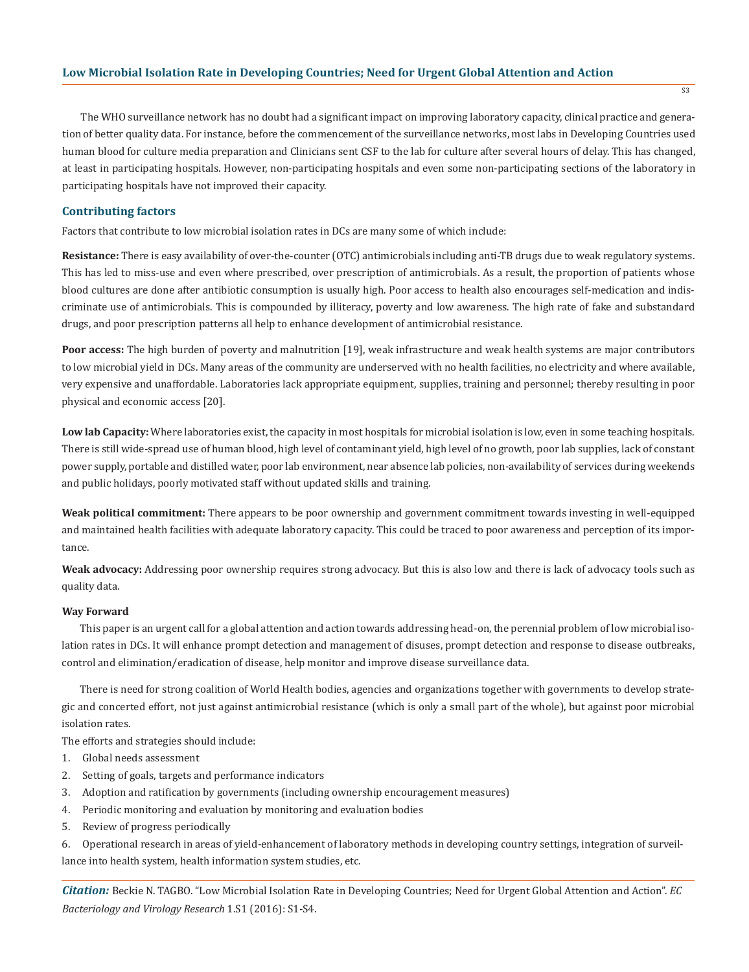#### **Low Microbial Isolation Rate in Developing Countries; Need for Urgent Global Attention and Action**

The WHO surveillance network has no doubt had a significant impact on improving laboratory capacity, clinical practice and generation of better quality data. For instance, before the commencement of the surveillance networks, most labs in Developing Countries used human blood for culture media preparation and Clinicians sent CSF to the lab for culture after several hours of delay. This has changed, at least in participating hospitals. However, non-participating hospitals and even some non-participating sections of the laboratory in participating hospitals have not improved their capacity.

#### **Contributing factors**

Factors that contribute to low microbial isolation rates in DCs are many some of which include:

**Resistance:** There is easy availability of over-the-counter (OTC) antimicrobials including anti-TB drugs due to weak regulatory systems. This has led to miss-use and even where prescribed, over prescription of antimicrobials. As a result, the proportion of patients whose blood cultures are done after antibiotic consumption is usually high. Poor access to health also encourages self-medication and indiscriminate use of antimicrobials. This is compounded by illiteracy, poverty and low awareness. The high rate of fake and substandard drugs, and poor prescription patterns all help to enhance development of antimicrobial resistance.

Poor access: The high burden of poverty and malnutrition [19], weak infrastructure and weak health systems are major contributors to low microbial yield in DCs. Many areas of the community are underserved with no health facilities, no electricity and where available, very expensive and unaffordable. Laboratories lack appropriate equipment, supplies, training and personnel; thereby resulting in poor physical and economic access [20].

**Low lab Capacity:** Where laboratories exist, the capacity in most hospitals for microbial isolation is low, even in some teaching hospitals. There is still wide-spread use of human blood, high level of contaminant yield, high level of no growth, poor lab supplies, lack of constant power supply, portable and distilled water, poor lab environment, near absence lab policies, non-availability of services during weekends and public holidays, poorly motivated staff without updated skills and training.

**Weak political commitment:** There appears to be poor ownership and government commitment towards investing in well-equipped and maintained health facilities with adequate laboratory capacity. This could be traced to poor awareness and perception of its importance.

**Weak advocacy:** Addressing poor ownership requires strong advocacy. But this is also low and there is lack of advocacy tools such as quality data.

#### **Way Forward**

This paper is an urgent call for a global attention and action towards addressing head-on, the perennial problem of low microbial isolation rates in DCs. It will enhance prompt detection and management of disuses, prompt detection and response to disease outbreaks, control and elimination/eradication of disease, help monitor and improve disease surveillance data.

There is need for strong coalition of World Health bodies, agencies and organizations together with governments to develop strategic and concerted effort, not just against antimicrobial resistance (which is only a small part of the whole), but against poor microbial isolation rates.

The efforts and strategies should include:

- 1. Global needs assessment
- 2. Setting of goals, targets and performance indicators
- 3. Adoption and ratification by governments (including ownership encouragement measures)
- 4. Periodic monitoring and evaluation by monitoring and evaluation bodies
- 5. Review of progress periodically

6. Operational research in areas of yield-enhancement of laboratory methods in developing country settings, integration of surveillance into health system, health information system studies, etc.

*Citation:* Beckie N. TAGBO. "Low Microbial Isolation Rate in Developing Countries; Need for Urgent Global Attention and Action". *EC Bacteriology and Virology Research* 1.S1 (2016): S1-S4.

 $\overline{S3}$